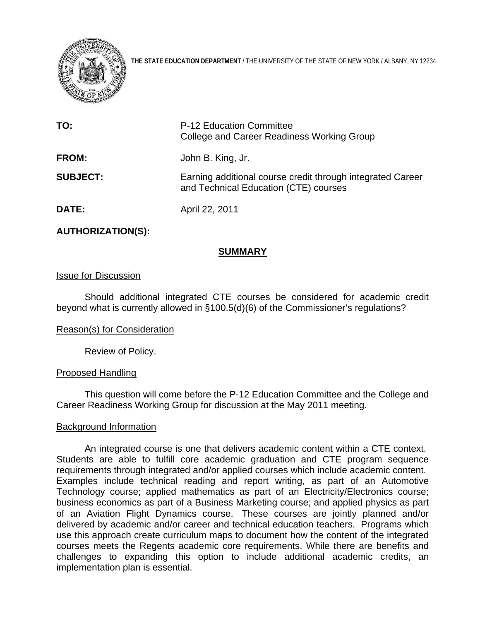

**THE STATE EDUCATION DEPARTMENT** / THE UNIVERSITY OF THE STATE OF NEW YORK / ALBANY, NY 12234

| TO:             | P-12 Education Committee<br><b>College and Career Readiness Working Group</b>                       |  |
|-----------------|-----------------------------------------------------------------------------------------------------|--|
| <b>FROM:</b>    | John B. King, Jr.                                                                                   |  |
| <b>SUBJECT:</b> | Earning additional course credit through integrated Career<br>and Technical Education (CTE) courses |  |
| <b>DATE:</b>    | April 22, 2011                                                                                      |  |

## **AUTHORIZATION(S):**

# **SUMMARY**

#### Issue for Discussion

Should additional integrated CTE courses be considered for academic credit beyond what is currently allowed in §100.5(d)(6) of the Commissioner's regulations?

#### Reason(s) for Consideration

Review of Policy.

#### Proposed Handling

This question will come before the P-12 Education Committee and the College and Career Readiness Working Group for discussion at the May 2011 meeting.

#### Background Information

An integrated course is one that delivers academic content within a CTE context. Students are able to fulfill core academic graduation and CTE program sequence requirements through integrated and/or applied courses which include academic content. Examples include technical reading and report writing, as part of an Automotive Technology course; applied mathematics as part of an Electricity/Electronics course; business economics as part of a Business Marketing course; and applied physics as part of an Aviation Flight Dynamics course. These courses are jointly planned and/or delivered by academic and/or career and technical education teachers. Programs which use this approach create curriculum maps to document how the content of the integrated courses meets the Regents academic core requirements. While there are benefits and challenges to expanding this option to include additional academic credits, an implementation plan is essential.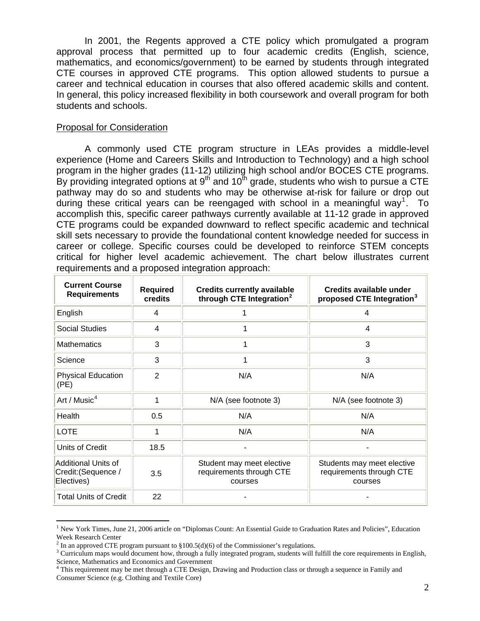In 2001, the Regents approved a CTE policy which promulgated a program approval process that permitted up to four academic credits (English, science, mathematics, and economics/government) to be earned by students through integrated CTE courses in approved CTE programs. This option allowed students to pursue a career and technical education in courses that also offered academic skills and content. In general, this policy increased flexibility in both coursework and overall program for both students and schools.

### Proposal for Consideration

 $\overline{a}$ 

A commonly used CTE program structure in LEAs provides a middle-level experience (Home and Careers Skills and Introduction to Technology) and a high school program in the higher grades (11-12) utilizing high school and/or BOCES CTE programs. By providing integrated options at  $9^{th}$  and  $10^{th}$  grade, students who wish to pursue a CTE pathway may do so and students who may be otherwise at-risk for failure or drop out during these critical years can be reengaged with school in a meaningful way<sup>[1](#page-1-0)</sup>. To accomplish this, specific career pathways currently available at 11-12 grade in approved CTE programs could be expanded downward to reflect specific academic and technical skill sets necessary to provide the foundational content knowledge needed for success in career or college. Specific courses could be developed to reinforce STEM concepts critical for higher level academic achievement. The chart below illustrates current requirements and a proposed integration approach:

| <b>Current Course</b><br><b>Requirements</b>             | <b>Required</b><br>credits | <b>Credits currently available</b><br>through CTE Integration <sup>2</sup> | Credits available under<br>proposed CTE Integration <sup>3</sup>  |
|----------------------------------------------------------|----------------------------|----------------------------------------------------------------------------|-------------------------------------------------------------------|
| English                                                  | 4                          |                                                                            | 4                                                                 |
| <b>Social Studies</b>                                    | 4                          |                                                                            | $\overline{4}$                                                    |
| <b>Mathematics</b>                                       | 3                          |                                                                            | 3                                                                 |
| Science                                                  | 3                          |                                                                            | 3                                                                 |
| <b>Physical Education</b><br>(PE)                        | $\overline{2}$             | N/A                                                                        | N/A                                                               |
| Art / Music $4$                                          | 1                          | N/A (see footnote 3)                                                       | N/A (see footnote 3)                                              |
| Health                                                   | 0.5                        | N/A                                                                        | N/A                                                               |
| <b>LOTE</b>                                              | 1                          | N/A                                                                        | N/A                                                               |
| Units of Credit                                          | 18.5                       |                                                                            |                                                                   |
| Additional Units of<br>Credit: (Sequence /<br>Electives) | 3.5                        | Student may meet elective<br>requirements through CTE<br>courses           | Students may meet elective<br>requirements through CTE<br>courses |
| <b>Total Units of Credit</b>                             | 22                         |                                                                            |                                                                   |

<span id="page-1-0"></span><sup>&</sup>lt;sup>1</sup> New York Times, June 21, 2006 article on "Diplomas Count: An Essential Guide to Graduation Rates and Policies", Education Week Research Center

<sup>&</sup>lt;sup>2</sup> In an approved CTE program pursuant to  $\S 100.5(d)(6)$  of the Commissioner's regulations.

<span id="page-1-2"></span><span id="page-1-1"></span><sup>&</sup>lt;sup>3</sup> Curriculum maps would document how, through a fully integrated program, students will fulfill the core requirements in English, Science, Mathematics and Economics and Government

<span id="page-1-3"></span>This requirement may be met through a CTE Design, Drawing and Production class or through a sequence in Family and Consumer Science (e.g. Clothing and Textile Core)